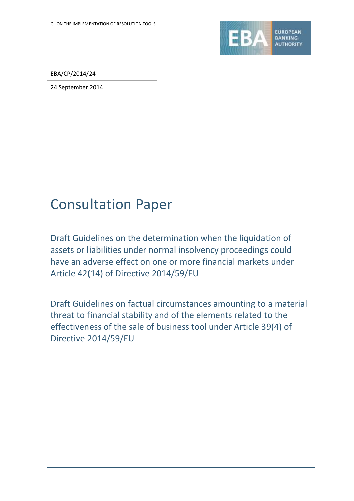

EBA/CP/2014/24

24 September 2014

# Consultation Paper

Draft Guidelines on the determination when the liquidation of assets or liabilities under normal insolvency proceedings could have an adverse effect on one or more financial markets under Article 42(14) of Directive 2014/59/EU

Draft Guidelines on factual circumstances amounting to a material threat to financial stability and of the elements related to the effectiveness of the sale of business tool under Article 39(4) of Directive 2014/59/EU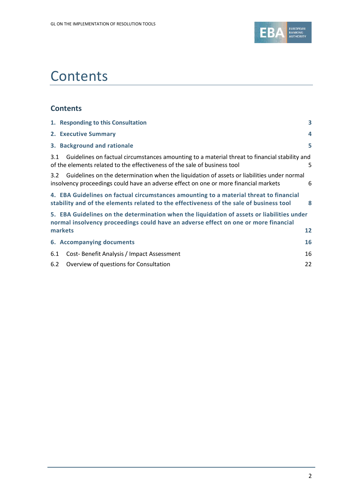

# **Contents**

### **Contents**

|                                                                                                                                                                                   | 1. Responding to this Consultation                                                                                                                                                 | 3  |  |  |
|-----------------------------------------------------------------------------------------------------------------------------------------------------------------------------------|------------------------------------------------------------------------------------------------------------------------------------------------------------------------------------|----|--|--|
|                                                                                                                                                                                   | 2. Executive Summary                                                                                                                                                               | 4  |  |  |
|                                                                                                                                                                                   | 3. Background and rationale                                                                                                                                                        | 5  |  |  |
| 3.1                                                                                                                                                                               | Guidelines on factual circumstances amounting to a material threat to financial stability and<br>of the elements related to the effectiveness of the sale of business tool         | 5. |  |  |
| 3.2                                                                                                                                                                               | Guidelines on the determination when the liquidation of assets or liabilities under normal<br>insolvency proceedings could have an adverse effect on one or more financial markets | 6  |  |  |
|                                                                                                                                                                                   | 4. EBA Guidelines on factual circumstances amounting to a material threat to financial<br>stability and of the elements related to the effectiveness of the sale of business tool  | 8  |  |  |
| 5. EBA Guidelines on the determination when the liquidation of assets or liabilities under<br>normal insolvency proceedings could have an adverse effect on one or more financial |                                                                                                                                                                                    |    |  |  |
|                                                                                                                                                                                   | markets                                                                                                                                                                            | 12 |  |  |
|                                                                                                                                                                                   | 6. Accompanying documents                                                                                                                                                          | 16 |  |  |
| 6.1                                                                                                                                                                               | Cost-Benefit Analysis / Impact Assessment                                                                                                                                          | 16 |  |  |
| 6.2                                                                                                                                                                               | Overview of questions for Consultation                                                                                                                                             | 22 |  |  |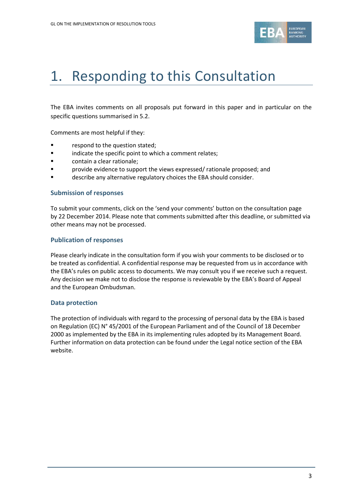

# <span id="page-2-0"></span>1. Responding to this Consultation

The EBA invites comments on all proposals put forward in this paper and in particular on the specific questions summarised in 5.2.

Comments are most helpful if they:

- **Fallengia Exercise 1** respond to the question stated;
- **Example 3** indicate the specific point to which a comment relates;
- contain a clear rationale;
- provide evidence to support the views expressed/ rationale proposed; and
- **Example 2** describe any alternative regulatory choices the EBA should consider.

#### **Submission of responses**

To submit your comments, click on the 'send your comments' button on the consultation page by 22 December 2014. Please note that comments submitted after this deadline, or submitted via other means may not be processed.

#### **Publication of responses**

Please clearly indicate in the consultation form if you wish your comments to be disclosed or to be treated as confidential. A confidential response may be requested from us in accordance with the EBA's rules on public access to documents. We may consult you if we receive such a request. Any decision we make not to disclose the response is reviewable by the EBA's Board of Appeal and the European Ombudsman.

#### **Data protection**

The protection of individuals with regard to the processing of personal data by the EBA is based on Regulation (EC) N° 45/2001 of the European Parliament and of the Council of 18 December 2000 as implemented by the EBA in its implementing rules adopted by its Management Board. Further information on data protection can be found under the [Legal notice section](http://eba.europa.eu/legal-notice) of the EBA website.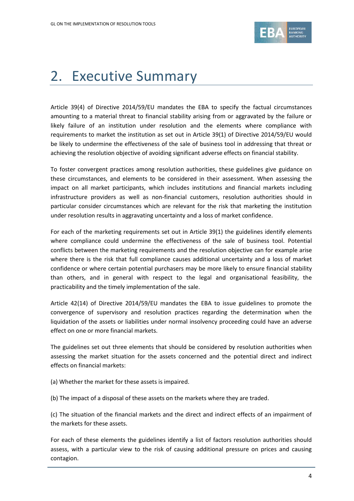

# <span id="page-3-0"></span>2. Executive Summary

Article 39(4) of Directive 2014/59/EU mandates the EBA to specify the factual circumstances amounting to a material threat to financial stability arising from or aggravated by the failure or likely failure of an institution under resolution and the elements where compliance with requirements to market the institution as set out in Article 39(1) of Directive 2014/59/EU would be likely to undermine the effectiveness of the sale of business tool in addressing that threat or achieving the resolution objective of avoiding significant adverse effects on financial stability.

To foster convergent practices among resolution authorities, these guidelines give guidance on these circumstances, and elements to be considered in their assessment. When assessing the impact on all market participants, which includes institutions and financial markets including infrastructure providers as well as non-financial customers, resolution authorities should in particular consider circumstances which are relevant for the risk that marketing the institution under resolution results in aggravating uncertainty and a loss of market confidence.

For each of the marketing requirements set out in Article 39(1) the guidelines identify elements where compliance could undermine the effectiveness of the sale of business tool. Potential conflicts between the marketing requirements and the resolution objective can for example arise where there is the risk that full compliance causes additional uncertainty and a loss of market confidence or where certain potential purchasers may be more likely to ensure financial stability than others, and in general with respect to the legal and organisational feasibility, the practicability and the timely implementation of the sale.

Article 42(14) of Directive 2014/59/EU mandates the EBA to issue guidelines to promote the convergence of supervisory and resolution practices regarding the determination when the liquidation of the assets or liabilities under normal insolvency proceeding could have an adverse effect on one or more financial markets.

The guidelines set out three elements that should be considered by resolution authorities when assessing the market situation for the assets concerned and the potential direct and indirect effects on financial markets:

- (a) Whether the market for these assets is impaired.
- (b) The impact of a disposal of these assets on the markets where they are traded.

(c) The situation of the financial markets and the direct and indirect effects of an impairment of the markets for these assets.

For each of these elements the guidelines identify a list of factors resolution authorities should assess, with a particular view to the risk of causing additional pressure on prices and causing contagion.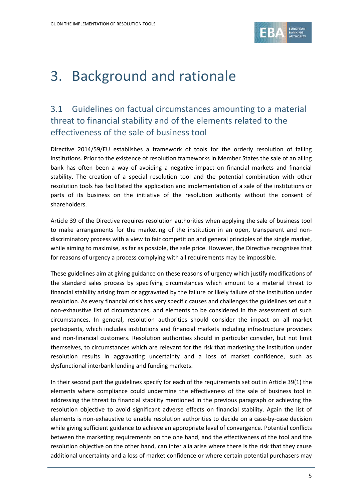

# <span id="page-4-0"></span>3. Background and rationale

# <span id="page-4-1"></span>3.1 Guidelines on factual circumstances amounting to a material threat to financial stability and of the elements related to the effectiveness of the sale of business tool

Directive 2014/59/EU establishes a framework of tools for the orderly resolution of failing institutions. Prior to the existence of resolution frameworks in Member States the sale of an ailing bank has often been a way of avoiding a negative impact on financial markets and financial stability. The creation of a special resolution tool and the potential combination with other resolution tools has facilitated the application and implementation of a sale of the institutions or parts of its business on the initiative of the resolution authority without the consent of shareholders.

Article 39 of the Directive requires resolution authorities when applying the sale of business tool to make arrangements for the marketing of the institution in an open, transparent and nondiscriminatory process with a view to fair competition and general principles of the single market, while aiming to maximise, as far as possible, the sale price. However, the Directive recognises that for reasons of urgency a process complying with all requirements may be impossible.

These guidelines aim at giving guidance on these reasons of urgency which justify modifications of the standard sales process by specifying circumstances which amount to a material threat to financial stability arising from or aggravated by the failure or likely failure of the institution under resolution. As every financial crisis has very specific causes and challenges the guidelines set out a non-exhaustive list of circumstances, and elements to be considered in the assessment of such circumstances. In general, resolution authorities should consider the impact on all market participants, which includes institutions and financial markets including infrastructure providers and non-financial customers. Resolution authorities should in particular consider, but not limit themselves, to circumstances which are relevant for the risk that marketing the institution under resolution results in aggravating uncertainty and a loss of market confidence, such as dysfunctional interbank lending and funding markets.

In their second part the guidelines specify for each of the requirements set out in Article 39(1) the elements where compliance could undermine the effectiveness of the sale of business tool in addressing the threat to financial stability mentioned in the previous paragraph or achieving the resolution objective to avoid significant adverse effects on financial stability. Again the list of elements is non-exhaustive to enable resolution authorities to decide on a case-by-case decision while giving sufficient guidance to achieve an appropriate level of convergence. Potential conflicts between the marketing requirements on the one hand, and the effectiveness of the tool and the resolution objective on the other hand, can inter alia arise where there is the risk that they cause additional uncertainty and a loss of market confidence or where certain potential purchasers may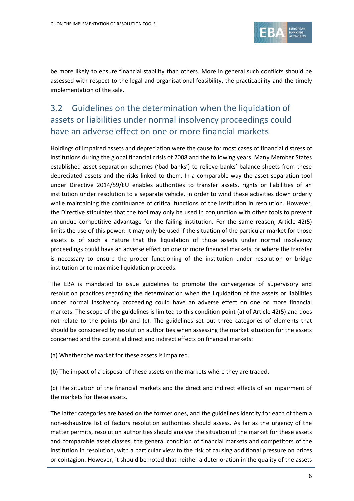

be more likely to ensure financial stability than others. More in general such conflicts should be assessed with respect to the legal and organisational feasibility, the practicability and the timely implementation of the sale.

## <span id="page-5-0"></span>3.2 Guidelines on the determination when the liquidation of assets or liabilities under normal insolvency proceedings could have an adverse effect on one or more financial markets

Holdings of impaired assets and depreciation were the cause for most cases of financial distress of institutions during the global financial crisis of 2008 and the following years. Many Member States established asset separation schemes ('bad banks') to relieve banks' balance sheets from these depreciated assets and the risks linked to them. In a comparable way the asset separation tool under Directive 2014/59/EU enables authorities to transfer assets, rights or liabilities of an institution under resolution to a separate vehicle, in order to wind these activities down orderly while maintaining the continuance of critical functions of the institution in resolution. However, the Directive stipulates that the tool may only be used in conjunction with other tools to prevent an undue competitive advantage for the failing institution. For the same reason, Article 42(5) limits the use of this power: It may only be used if the situation of the particular market for those assets is of such a nature that the liquidation of those assets under normal insolvency proceedings could have an adverse effect on one or more financial markets, or where the transfer is necessary to ensure the proper functioning of the institution under resolution or bridge institution or to maximise liquidation proceeds.

The EBA is mandated to issue guidelines to promote the convergence of supervisory and resolution practices regarding the determination when the liquidation of the assets or liabilities under normal insolvency proceeding could have an adverse effect on one or more financial markets. The scope of the guidelines is limited to this condition point (a) of Article 42(5) and does not relate to the points (b) and (c). The guidelines set out three categories of elements that should be considered by resolution authorities when assessing the market situation for the assets concerned and the potential direct and indirect effects on financial markets:

(a) Whether the market for these assets is impaired.

(b) The impact of a disposal of these assets on the markets where they are traded.

(c) The situation of the financial markets and the direct and indirect effects of an impairment of the markets for these assets.

The latter categories are based on the former ones, and the guidelines identify for each of them a non-exhaustive list of factors resolution authorities should assess. As far as the urgency of the matter permits, resolution authorities should analyse the situation of the market for these assets and comparable asset classes, the general condition of financial markets and competitors of the institution in resolution, with a particular view to the risk of causing additional pressure on prices or contagion. However, it should be noted that neither a deterioration in the quality of the assets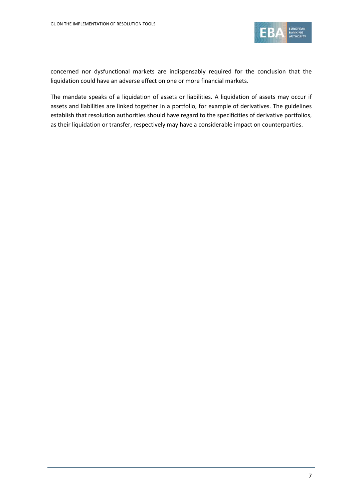

concerned nor dysfunctional markets are indispensably required for the conclusion that the liquidation could have an adverse effect on one or more financial markets.

The mandate speaks of a liquidation of assets or liabilities. A liquidation of assets may occur if assets and liabilities are linked together in a portfolio, for example of derivatives. The guidelines establish that resolution authorities should have regard to the specificities of derivative portfolios, as their liquidation or transfer, respectively may have a considerable impact on counterparties.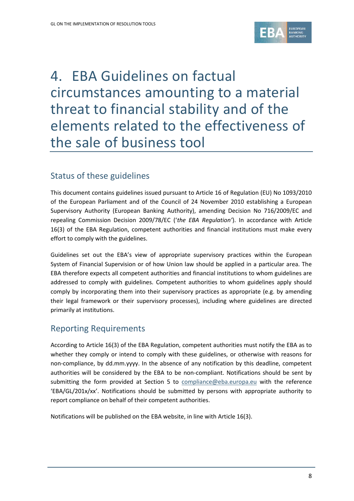

# <span id="page-7-0"></span>4. EBA Guidelines on factual circumstances amounting to a material threat to financial stability and of the elements related to the effectiveness of the sale of business tool

### Status of these guidelines

This document contains guidelines issued pursuant to Article 16 of Regulation (EU) No 1093/2010 of the European Parliament and of the Council of 24 November 2010 establishing a European Supervisory Authority (European Banking Authority), amending Decision No 716/2009/EC and repealing Commission Decision 2009/78/EC ('*the EBA Regulation'*). In accordance with Article 16(3) of the EBA Regulation, competent authorities and financial institutions must make every effort to comply with the guidelines.

Guidelines set out the EBA's view of appropriate supervisory practices within the European System of Financial Supervision or of how Union law should be applied in a particular area. The EBA therefore expects all competent authorities and financial institutions to whom guidelines are addressed to comply with guidelines. Competent authorities to whom guidelines apply should comply by incorporating them into their supervisory practices as appropriate (e.g. by amending their legal framework or their supervisory processes), including where guidelines are directed primarily at institutions.

### Reporting Requirements

According to Article 16(3) of the EBA Regulation, competent authorities must notify the EBA as to whether they comply or intend to comply with these guidelines, or otherwise with reasons for non-compliance, by dd.mm.yyyy. In the absence of any notification by this deadline, competent authorities will be considered by the EBA to be non-compliant. Notifications should be sent by submitting the form provided at Section 5 to [compliance@eba.europa.eu](mailto:compliance@eba.europa.eu) with the reference 'EBA/GL/201x/xx'. Notifications should be submitted by persons with appropriate authority to report compliance on behalf of their competent authorities.

Notifications will be published on the EBA website, in line with Article 16(3).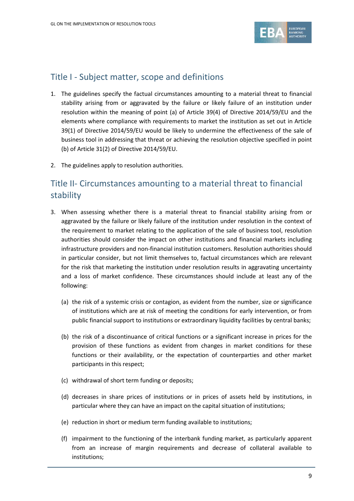

## Title I - Subject matter, scope and definitions

- 1. The guidelines specify the factual circumstances amounting to a material threat to financial stability arising from or aggravated by the failure or likely failure of an institution under resolution within the meaning of point (a) of Article 39(4) of Directive 2014/59/EU and the elements where compliance with requirements to market the institution as set out in Article 39(1) of Directive 2014/59/EU would be likely to undermine the effectiveness of the sale of business tool in addressing that threat or achieving the resolution objective specified in point (b) of Article 31(2) of Directive 2014/59/EU.
- 2. The guidelines apply to resolution authorities.

## Title II- Circumstances amounting to a material threat to financial stability

- 3. When assessing whether there is a material threat to financial stability arising from or aggravated by the failure or likely failure of the institution under resolution in the context of the requirement to market relating to the application of the sale of business tool, resolution authorities should consider the impact on other institutions and financial markets including infrastructure providers and non-financial institution customers. Resolution authorities should in particular consider, but not limit themselves to, factual circumstances which are relevant for the risk that marketing the institution under resolution results in aggravating uncertainty and a loss of market confidence. These circumstances should include at least any of the following:
	- (a) the risk of a systemic crisis or contagion, as evident from the number, size or significance of institutions which are at risk of meeting the conditions for early intervention, or from public financial support to institutions or extraordinary liquidity facilities by central banks;
	- (b) the risk of a discontinuance of critical functions or a significant increase in prices for the provision of these functions as evident from changes in market conditions for these functions or their availability, or the expectation of counterparties and other market participants in this respect;
	- (c) withdrawal of short term funding or deposits;
	- (d) decreases in share prices of institutions or in prices of assets held by institutions, in particular where they can have an impact on the capital situation of institutions;
	- (e) reduction in short or medium term funding available to institutions;
	- (f) impairment to the functioning of the interbank funding market, as particularly apparent from an increase of margin requirements and decrease of collateral available to institutions;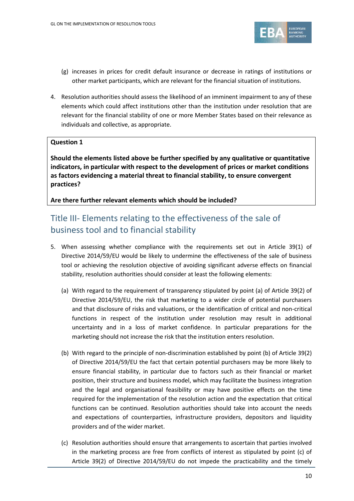

- (g) increases in prices for credit default insurance or decrease in ratings of institutions or other market participants, which are relevant for the financial situation of institutions.
- 4. Resolution authorities should assess the likelihood of an imminent impairment to any of these elements which could affect institutions other than the institution under resolution that are relevant for the financial stability of one or more Member States based on their relevance as individuals and collective, as appropriate.

#### **Question 1**

**Should the elements listed above be further specified by any qualitative or quantitative indicators, in particular with respect to the development of prices or market conditions as factors evidencing a material threat to financial stability, to ensure convergent practices?** 

**Are there further relevant elements which should be included?**

## Title III- Elements relating to the effectiveness of the sale of business tool and to financial stability

- 5. When assessing whether compliance with the requirements set out in Article 39(1) of Directive 2014/59/EU would be likely to undermine the effectiveness of the sale of business tool or achieving the resolution objective of avoiding significant adverse effects on financial stability, resolution authorities should consider at least the following elements:
	- (a) With regard to the requirement of transparency stipulated by point (a) of Article 39(2) of Directive 2014/59/EU, the risk that marketing to a wider circle of potential purchasers and that disclosure of risks and valuations, or the identification of critical and non-critical functions in respect of the institution under resolution may result in additional uncertainty and in a loss of market confidence. In particular preparations for the marketing should not increase the risk that the institution enters resolution.
	- (b) With regard to the principle of non-discrimination established by point (b) of Article 39(2) of Directive 2014/59/EU the fact that certain potential purchasers may be more likely to ensure financial stability, in particular due to factors such as their financial or market position, their structure and business model, which may facilitate the business integration and the legal and organisational feasibility or may have positive effects on the time required for the implementation of the resolution action and the expectation that critical functions can be continued. Resolution authorities should take into account the needs and expectations of counterparties, infrastructure providers, depositors and liquidity providers and of the wider market.
	- (c) Resolution authorities should ensure that arrangements to ascertain that parties involved in the marketing process are free from conflicts of interest as stipulated by point (c) of Article 39(2) of Directive 2014/59/EU do not impede the practicability and the timely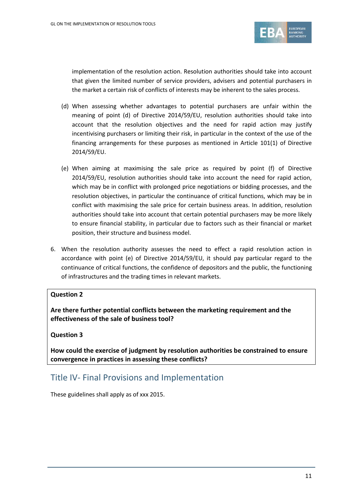

implementation of the resolution action. Resolution authorities should take into account that given the limited number of service providers, advisers and potential purchasers in the market a certain risk of conflicts of interests may be inherent to the sales process.

- (d) When assessing whether advantages to potential purchasers are unfair within the meaning of point (d) of Directive 2014/59/EU, resolution authorities should take into account that the resolution objectives and the need for rapid action may justify incentivising purchasers or limiting their risk, in particular in the context of the use of the financing arrangements for these purposes as mentioned in Article 101(1) of Directive 2014/59/EU.
- (e) When aiming at maximising the sale price as required by point (f) of Directive 2014/59/EU, resolution authorities should take into account the need for rapid action, which may be in conflict with prolonged price negotiations or bidding processes, and the resolution objectives, in particular the continuance of critical functions, which may be in conflict with maximising the sale price for certain business areas. In addition, resolution authorities should take into account that certain potential purchasers may be more likely to ensure financial stability, in particular due to factors such as their financial or market position, their structure and business model.
- 6. When the resolution authority assesses the need to effect a rapid resolution action in accordance with point (e) of Directive 2014/59/EU, it should pay particular regard to the continuance of critical functions, the confidence of depositors and the public, the functioning of infrastructures and the trading times in relevant markets.

#### **Question 2**

**Are there further potential conflicts between the marketing requirement and the effectiveness of the sale of business tool?**

#### **Question 3**

**How could the exercise of judgment by resolution authorities be constrained to ensure convergence in practices in assessing these conflicts?**

### Title IV- Final Provisions and Implementation

These guidelines shall apply as of xxx 2015.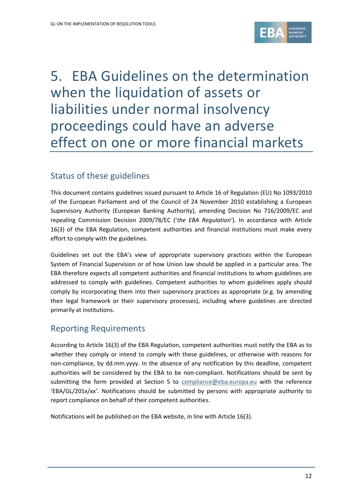

# <span id="page-11-0"></span>5. EBA Guidelines on the determination when the liquidation of assets or liabilities under normal insolvency proceedings could have an adverse effect on one or more financial markets

### Status of these guidelines

This document contains guidelines issued pursuant to Article 16 of Regulation (EU) No 1093/2010 of the European Parliament and of the Council of 24 November 2010 establishing a European Supervisory Authority (European Banking Authority), amending Decision No 716/2009/EC and repealing Commission Decision 2009/78/EC ('*the EBA Regulation'*). In accordance with Article 16(3) of the EBA Regulation, competent authorities and financial institutions must make every effort to comply with the guidelines.

Guidelines set out the EBA's view of appropriate supervisory practices within the European System of Financial Supervision or of how Union law should be applied in a particular area. The EBA therefore expects all competent authorities and financial institutions to whom guidelines are addressed to comply with guidelines. Competent authorities to whom guidelines apply should comply by incorporating them into their supervisory practices as appropriate (e.g. by amending their legal framework or their supervisory processes), including where guidelines are directed primarily at institutions.

### Reporting Requirements

According to Article 16(3) of the EBA Regulation, competent authorities must notify the EBA as to whether they comply or intend to comply with these guidelines, or otherwise with reasons for non-compliance, by dd.mm.yyyy. In the absence of any notification by this deadline, competent authorities will be considered by the EBA to be non-compliant. Notifications should be sent by submitting the form provided at Section 5 to [compliance@eba.europa.eu](mailto:compliance@eba.europa.eu) with the reference 'EBA/GL/201x/xx'. Notifications should be submitted by persons with appropriate authority to report compliance on behalf of their competent authorities.

Notifications will be published on the EBA website, in line with Article 16(3).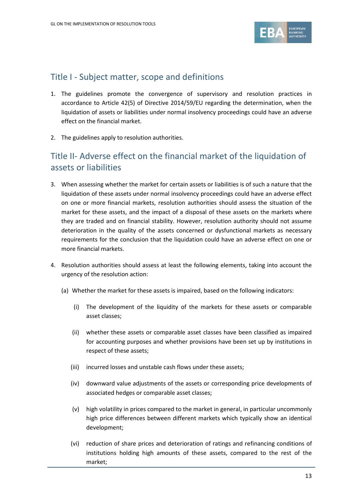

### Title I - Subject matter, scope and definitions

- 1. The guidelines promote the convergence of supervisory and resolution practices in accordance to Article 42(5) of Directive 2014/59/EU regarding the determination, when the liquidation of assets or liabilities under normal insolvency proceedings could have an adverse effect on the financial market.
- 2. The guidelines apply to resolution authorities.

## Title II- Adverse effect on the financial market of the liquidation of assets or liabilities

- 3. When assessing whether the market for certain assets or liabilities is of such a nature that the liquidation of these assets under normal insolvency proceedings could have an adverse effect on one or more financial markets, resolution authorities should assess the situation of the market for these assets, and the impact of a disposal of these assets on the markets where they are traded and on financial stability. However, resolution authority should not assume deterioration in the quality of the assets concerned or dysfunctional markets as necessary requirements for the conclusion that the liquidation could have an adverse effect on one or more financial markets.
- 4. Resolution authorities should assess at least the following elements, taking into account the urgency of the resolution action:
	- (a) Whether the market for these assets is impaired, based on the following indicators:
		- (i) The development of the liquidity of the markets for these assets or comparable asset classes;
		- (ii) whether these assets or comparable asset classes have been classified as impaired for accounting purposes and whether provisions have been set up by institutions in respect of these assets;
		- (iii) incurred losses and unstable cash flows under these assets;
		- (iv) downward value adjustments of the assets or corresponding price developments of associated hedges or comparable asset classes;
		- (v) high volatility in prices compared to the market in general, in particular uncommonly high price differences between different markets which typically show an identical development;
		- (vi) reduction of share prices and deterioration of ratings and refinancing conditions of institutions holding high amounts of these assets, compared to the rest of the market;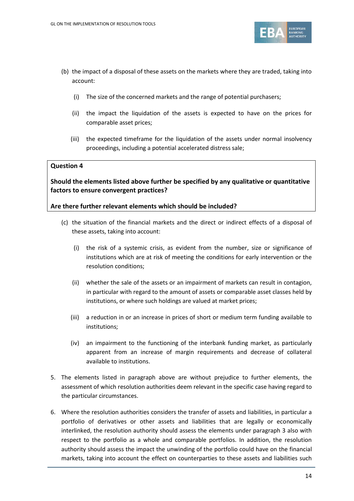

- (b) the impact of a disposal of these assets on the markets where they are traded, taking into account:
	- (i) The size of the concerned markets and the range of potential purchasers;
	- (ii) the impact the liquidation of the assets is expected to have on the prices for comparable asset prices;
	- (iii) the expected timeframe for the liquidation of the assets under normal insolvency proceedings, including a potential accelerated distress sale;

#### **Question 4**

#### **Should the elements listed above further be specified by any qualitative or quantitative factors to ensure convergent practices?**

#### **Are there further relevant elements which should be included?**

- (c) the situation of the financial markets and the direct or indirect effects of a disposal of these assets, taking into account:
	- (i) the risk of a systemic crisis, as evident from the number, size or significance of institutions which are at risk of meeting the conditions for early intervention or the resolution conditions;
	- (ii) whether the sale of the assets or an impairment of markets can result in contagion, in particular with regard to the amount of assets or comparable asset classes held by institutions, or where such holdings are valued at market prices;
	- (iii) a reduction in or an increase in prices of short or medium term funding available to institutions;
	- (iv) an impairment to the functioning of the interbank funding market, as particularly apparent from an increase of margin requirements and decrease of collateral available to institutions.
- 5. The elements listed in paragraph above are without prejudice to further elements, the assessment of which resolution authorities deem relevant in the specific case having regard to the particular circumstances.
- 6. Where the resolution authorities considers the transfer of assets and liabilities, in particular a portfolio of derivatives or other assets and liabilities that are legally or economically interlinked, the resolution authority should assess the elements under paragraph 3 also with respect to the portfolio as a whole and comparable portfolios. In addition, the resolution authority should assess the impact the unwinding of the portfolio could have on the financial markets, taking into account the effect on counterparties to these assets and liabilities such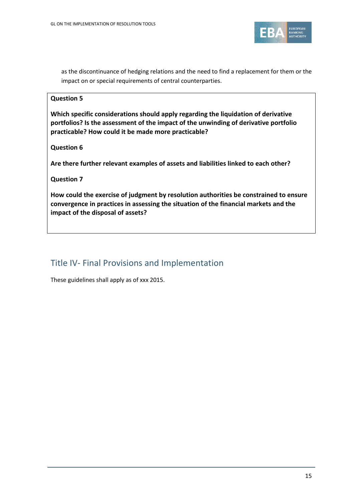

as the discontinuance of hedging relations and the need to find a replacement for them or the impact on or special requirements of central counterparties.

#### **Question 5**

**Which specific considerations should apply regarding the liquidation of derivative portfolios? Is the assessment of the impact of the unwinding of derivative portfolio practicable? How could it be made more practicable?**

#### **Question 6**

**Are there further relevant examples of assets and liabilities linked to each other?**

#### **Question 7**

**How could the exercise of judgment by resolution authorities be constrained to ensure convergence in practices in assessing the situation of the financial markets and the impact of the disposal of assets?**

### Title IV- Final Provisions and Implementation

These guidelines shall apply as of xxx 2015.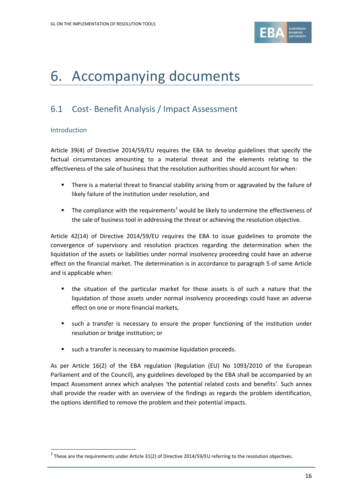

# <span id="page-15-0"></span>6. Accompanying documents

## <span id="page-15-1"></span>6.1 Cost- Benefit Analysis / Impact Assessment

#### Introduction

1

Article 39(4) of Directive 2014/59/EU requires the EBA to develop guidelines that specify the factual circumstances amounting to a material threat and the elements relating to the effectiveness of the sale of business that the resolution authorities should account for when:

- There is a material threat to financial stability arising from or aggravated by the failure of likely failure of the institution under resolution, and
- The compliance with the requirements<sup>1</sup> would be likely to undermine the effectiveness of the sale of business tool in addressing the threat or achieving the resolution objective.

Article 42(14) of Directive 2014/59/EU requires the EBA to issue guidelines to promote the convergence of supervisory and resolution practices regarding the determination when the liquidation of the assets or liabilities under normal insolvency proceeding could have an adverse effect on the financial market. The determination is in accordance to paragraph 5 of same Article and is applicable when:

- the situation of the particular market for those assets is of such a nature that the liquidation of those assets under normal insolvency proceedings could have an adverse effect on one or more financial markets,
- such a transfer is necessary to ensure the proper functioning of the institution under resolution or bridge institution; or
- such a transfer is necessary to maximise liquidation proceeds.

As per Article 16(2) of the EBA regulation (Regulation (EU) No 1093/2010 of the European Parliament and of the Council), any guidelines developed by the EBA shall be accompanied by an Impact Assessment annex which analyses 'the potential related costs and benefits'. Such annex shall provide the reader with an overview of the findings as regards the problem identification, the options identified to remove the problem and their potential impacts.

 $^1$  These are the requirements under Article 31(2) of Directive 2014/59/EU referring to the resolution objectives.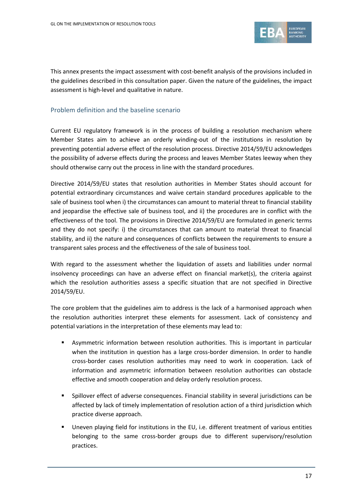

This annex presents the impact assessment with cost-benefit analysis of the provisions included in the guidelines described in this consultation paper. Given the nature of the guidelines, the impact assessment is high-level and qualitative in nature.

#### Problem definition and the baseline scenario

Current EU regulatory framework is in the process of building a resolution mechanism where Member States aim to achieve an orderly winding-out of the institutions in resolution by preventing potential adverse effect of the resolution process. Directive 2014/59/EU acknowledges the possibility of adverse effects during the process and leaves Member States leeway when they should otherwise carry out the process in line with the standard procedures.

Directive 2014/59/EU states that resolution authorities in Member States should account for potential extraordinary circumstances and waive certain standard procedures applicable to the sale of business tool when i) the circumstances can amount to material threat to financial stability and jeopardise the effective sale of business tool, and ii) the procedures are in conflict with the effectiveness of the tool. The provisions in Directive 2014/59/EU are formulated in generic terms and they do not specify: i) the circumstances that can amount to material threat to financial stability, and ii) the nature and consequences of conflicts between the requirements to ensure a transparent sales process and the effectiveness of the sale of business tool.

With regard to the assessment whether the liquidation of assets and liabilities under normal insolvency proceedings can have an adverse effect on financial market(s), the criteria against which the resolution authorities assess a specific situation that are not specified in Directive 2014/59/EU.

The core problem that the guidelines aim to address is the lack of a harmonised approach when the resolution authorities interpret these elements for assessment. Lack of consistency and potential variations in the interpretation of these elements may lead to:

- Asymmetric information between resolution authorities. This is important in particular when the institution in question has a large cross-border dimension. In order to handle cross-border cases resolution authorities may need to work in cooperation. Lack of information and asymmetric information between resolution authorities can obstacle effective and smooth cooperation and delay orderly resolution process.
- Spillover effect of adverse consequences. Financial stability in several jurisdictions can be affected by lack of timely implementation of resolution action of a third jurisdiction which practice diverse approach.
- Uneven playing field for institutions in the EU, i.e. different treatment of various entities belonging to the same cross-border groups due to different supervisory/resolution practices.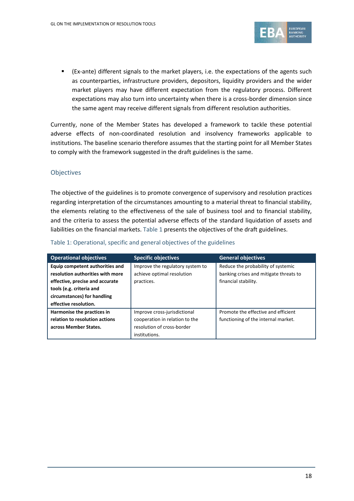

 (Ex-ante) different signals to the market players, i.e. the expectations of the agents such as counterparties, infrastructure providers, depositors, liquidity providers and the wider market players may have different expectation from the regulatory process. Different expectations may also turn into uncertainty when there is a cross-border dimension since the same agent may receive different signals from different resolution authorities.

Currently, none of the Member States has developed a framework to tackle these potential adverse effects of non-coordinated resolution and insolvency frameworks applicable to institutions. The baseline scenario therefore assumes that the starting point for all Member States to comply with the framework suggested in the draft guidelines is the same.

#### **Objectives**

The objective of the guidelines is to promote convergence of supervisory and resolution practices regarding interpretation of the circumstances amounting to a material threat to financial stability, the elements relating to the effectiveness of the sale of business tool and to financial stability, and the criteria to assess the potential adverse effects of the standard liquidation of assets and liabilities on the financial markets[. Table 1](#page-17-0) presents the objectives of the draft guidelines.

| <b>Operational objectives</b>    | <b>Specific objectives</b>       | <b>General objectives</b>              |
|----------------------------------|----------------------------------|----------------------------------------|
| Equip competent authorities and  | Improve the regulatory system to | Reduce the probability of systemic     |
| resolution authorities with more | achieve optimal resolution       | banking crises and mitigate threats to |
| effective, precise and accurate  | practices.                       | financial stability.                   |
| tools (e.g. criteria and         |                                  |                                        |
| circumstances) for handling      |                                  |                                        |
| effective resolution.            |                                  |                                        |
| Harmonise the practices in       | Improve cross-jurisdictional     | Promote the effective and efficient    |
| relation to resolution actions   | cooperation in relation to the   | functioning of the internal market.    |
| across Member States.            | resolution of cross-border       |                                        |
|                                  | institutions.                    |                                        |

#### <span id="page-17-0"></span>Table 1: Operational, specific and general objectives of the guidelines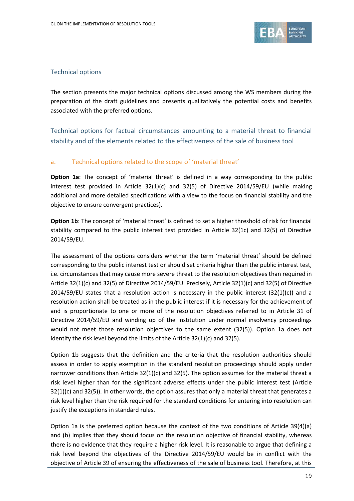

#### Technical options

The section presents the major technical options discussed among the WS members during the preparation of the draft guidelines and presents qualitatively the potential costs and benefits associated with the preferred options.

Technical options for factual circumstances amounting to a material threat to financial stability and of the elements related to the effectiveness of the sale of business tool

#### a. Technical options related to the scope of 'material threat'

**Option 1a**: The concept of 'material threat' is defined in a way corresponding to the public interest test provided in Article 32(1)(c) and 32(5) of Directive 2014/59/EU (while making additional and more detailed specifications with a view to the focus on financial stability and the objective to ensure convergent practices).

**Option 1b**: The concept of 'material threat' is defined to set a higher threshold of risk for financial stability compared to the public interest test provided in Article 32(1c) and 32(5) of Directive 2014/59/EU.

The assessment of the options considers whether the term 'material threat' should be defined corresponding to the public interest test or should set criteria higher than the public interest test, i.e. circumstances that may cause more severe threat to the resolution objectives than required in Article 32(1)(c) and 32(5) of Directive 2014/59/EU. Precisely, Article 32(1)(c) and 32(5) of Directive 2014/59/EU states that a resolution action is necessary in the public interest  $(32(1)(c))$  and a resolution action shall be treated as in the public interest if it is necessary for the achievement of and is proportionate to one or more of the resolution objectives referred to in Article 31 of Directive 2014/59/EU and winding up of the institution under normal insolvency proceedings would not meet those resolution objectives to the same extent (32(5)). Option 1a does not identify the risk level beyond the limits of the Article 32(1)(c) and 32(5).

Option 1b suggests that the definition and the criteria that the resolution authorities should assess in order to apply exemption in the standard resolution proceedings should apply under narrower conditions than Article 32(1)(c) and 32(5). The option assumes for the material threat a risk level higher than for the significant adverse effects under the public interest test (Article  $32(1)(c)$  and  $32(5)$ ). In other words, the option assures that only a material threat that generates a risk level higher than the risk required for the standard conditions for entering into resolution can justify the exceptions in standard rules.

Option 1a is the preferred option because the context of the two conditions of Article 39(4)(a) and (b) implies that they should focus on the resolution objective of financial stability, whereas there is no evidence that they require a higher risk level. It is reasonable to argue that defining a risk level beyond the objectives of the Directive 2014/59/EU would be in conflict with the objective of Article 39 of ensuring the effectiveness of the sale of business tool. Therefore, at this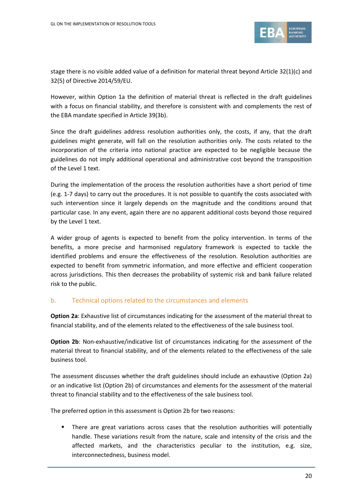

stage there is no visible added value of a definition for material threat beyond Article 32(1)(c) and 32(5) of Directive 2014/59/EU.

However, within Option 1a the definition of material threat is reflected in the draft guidelines with a focus on financial stability, and therefore is consistent with and complements the rest of the EBA mandate specified in Article 39(3b).

Since the draft guidelines address resolution authorities only, the costs, if any, that the draft guidelines might generate, will fall on the resolution authorities only. The costs related to the incorporation of the criteria into national practice are expected to be negligible because the guidelines do not imply additional operational and administrative cost beyond the transposition of the Level 1 text.

During the implementation of the process the resolution authorities have a short period of time (e.g. 1-7 days) to carry out the procedures. It is not possible to quantify the costs associated with such intervention since it largely depends on the magnitude and the conditions around that particular case. In any event, again there are no apparent additional costs beyond those required by the Level 1 text.

A wider group of agents is expected to benefit from the policy intervention. In terms of the benefits, a more precise and harmonised regulatory framework is expected to tackle the identified problems and ensure the effectiveness of the resolution. Resolution authorities are expected to benefit from symmetric information, and more effective and efficient cooperation across jurisdictions. This then decreases the probability of systemic risk and bank failure related risk to the public.

#### b. Technical options related to the circumstances and elements

**Option 2a**: Exhaustive list of circumstances indicating for the assessment of the material threat to financial stability, and of the elements related to the effectiveness of the sale business tool.

**Option 2b:** Non-exhaustive/indicative list of circumstances indicating for the assessment of the material threat to financial stability, and of the elements related to the effectiveness of the sale business tool.

The assessment discusses whether the draft guidelines should include an exhaustive (Option 2a) or an indicative list (Option 2b) of circumstances and elements for the assessment of the material threat to financial stability and to the effectiveness of the sale business tool.

The preferred option in this assessment is Option 2b for two reasons:

 There are great variations across cases that the resolution authorities will potentially handle. These variations result from the nature, scale and intensity of the crisis and the affected markets, and the characteristics peculiar to the institution, e.g. size, interconnectedness, business model.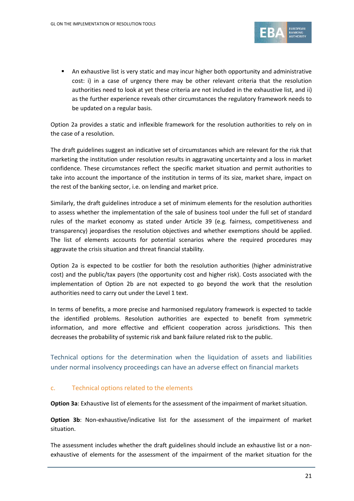

 An exhaustive list is very static and may incur higher both opportunity and administrative cost: i) in a case of urgency there may be other relevant criteria that the resolution authorities need to look at yet these criteria are not included in the exhaustive list, and ii) as the further experience reveals other circumstances the regulatory framework needs to be updated on a regular basis.

Option 2a provides a static and inflexible framework for the resolution authorities to rely on in the case of a resolution.

The draft guidelines suggest an indicative set of circumstances which are relevant for the risk that marketing the institution under resolution results in aggravating uncertainty and a loss in market confidence. These circumstances reflect the specific market situation and permit authorities to take into account the importance of the institution in terms of its size, market share, impact on the rest of the banking sector, i.e. on lending and market price.

Similarly, the draft guidelines introduce a set of minimum elements for the resolution authorities to assess whether the implementation of the sale of business tool under the full set of standard rules of the market economy as stated under Article 39 (e.g. fairness, competitiveness and transparency) jeopardises the resolution objectives and whether exemptions should be applied. The list of elements accounts for potential scenarios where the required procedures may aggravate the crisis situation and threat financial stability.

Option 2a is expected to be costlier for both the resolution authorities (higher administrative cost) and the public/tax payers (the opportunity cost and higher risk). Costs associated with the implementation of Option 2b are not expected to go beyond the work that the resolution authorities need to carry out under the Level 1 text.

In terms of benefits, a more precise and harmonised regulatory framework is expected to tackle the identified problems. Resolution authorities are expected to benefit from symmetric information, and more effective and efficient cooperation across jurisdictions. This then decreases the probability of systemic risk and bank failure related risk to the public.

Technical options for the determination when the liquidation of assets and liabilities under normal insolvency proceedings can have an adverse effect on financial markets

#### c. Technical options related to the elements

**Option 3a**: Exhaustive list of elements for the assessment of the impairment of market situation.

**Option 3b**: Non-exhaustive/indicative list for the assessment of the impairment of market situation.

The assessment includes whether the draft guidelines should include an exhaustive list or a nonexhaustive of elements for the assessment of the impairment of the market situation for the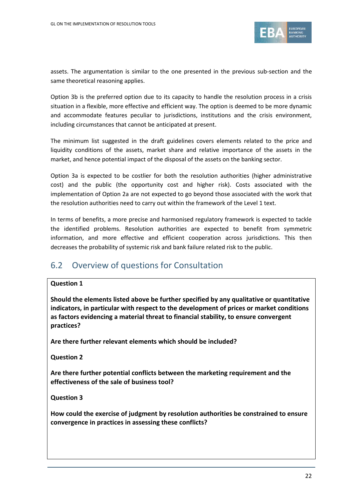

assets. The argumentation is similar to the one presented in the previous sub-section and the same theoretical reasoning applies.

Option 3b is the preferred option due to its capacity to handle the resolution process in a crisis situation in a flexible, more effective and efficient way. The option is deemed to be more dynamic and accommodate features peculiar to jurisdictions, institutions and the crisis environment, including circumstances that cannot be anticipated at present.

The minimum list suggested in the draft guidelines covers elements related to the price and liquidity conditions of the assets, market share and relative importance of the assets in the market, and hence potential impact of the disposal of the assets on the banking sector.

Option 3a is expected to be costlier for both the resolution authorities (higher administrative cost) and the public (the opportunity cost and higher risk). Costs associated with the implementation of Option 2a are not expected to go beyond those associated with the work that the resolution authorities need to carry out within the framework of the Level 1 text.

In terms of benefits, a more precise and harmonised regulatory framework is expected to tackle the identified problems. Resolution authorities are expected to benefit from symmetric information, and more effective and efficient cooperation across jurisdictions. This then decreases the probability of systemic risk and bank failure related risk to the public.

## <span id="page-21-0"></span>6.2 Overview of questions for Consultation

#### **Question 1**

**Should the elements listed above be further specified by any qualitative or quantitative indicators, in particular with respect to the development of prices or market conditions as factors evidencing a material threat to financial stability, to ensure convergent practices?** 

**Are there further relevant elements which should be included?**

**Question 2**

**Are there further potential conflicts between the marketing requirement and the effectiveness of the sale of business tool?**

**Question 3**

**How could the exercise of judgment by resolution authorities be constrained to ensure convergence in practices in assessing these conflicts?**